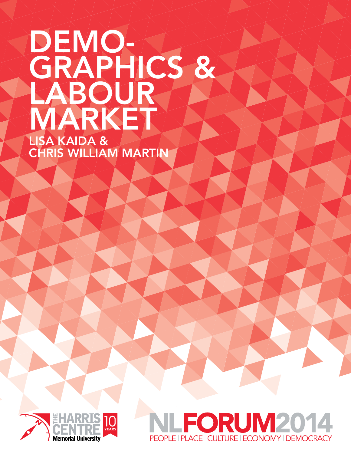## DEMO-GRAPHICS & LABOUR MARKET Lisa Kaida &

Chris William Martin



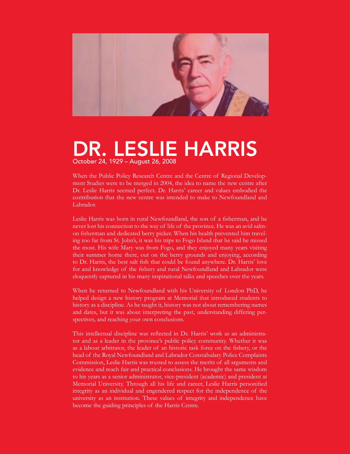

### DR. LESLIE HARRIS October 24, 1929 – August 26, 2008

When the Public Policy Research Centre and the Centre of Regional Development Studies were to be merged in 2004, the idea to name the new centre after Dr. Leslie Harris seemed perfect. Dr. Harris' career and values embodied the contribution that the new centre was intended to make to Newfoundland and Labrador.

Leslie Harris was born in rural Newfoundland, the son of a fisherman, and he never lost his connection to the way of life of the province. He was an avid salmon fisherman and dedicated berry picker. When his health prevented him traveling too far from St. John's, it was his trips to Fogo Island that he said he missed the most. His wife Mary was from Fogo, and they enjoyed many years visiting their summer home there, out on the berry grounds and enjoying, according to Dr. Harris, the best salt fish that could be found anywhere. Dr. Harris' love for and knowledge of the fishery and rural Newfoundland and Labrador were eloquently captured in his many inspirational talks and speeches over the years.

When he returned to Newfoundland with his University of London PhD, he helped design a new history program at Memorial that introduced students to history as a discipline. As he taught it, history was not about remembering names and dates, but it was about interpreting the past, understanding differing perspectives, and reaching your own conclusions.

This intellectual discipline was reflected in Dr. Harris' work as an administrator and as a leader in the province's public policy community. Whether it was as a labour arbitrator, the leader of an historic task force on the fishery, or the head of the Royal Newfoundland and Labrador Constabulary Police Complaints Commission, Leslie Harris was trusted to assess the merits of all arguments and evidence and reach fair and practical conclusions. He brought the same wisdom to his years as a senior administrator, vice-president (academic) and president at Memorial University. Through all his life and career, Leslie Harris personified integrity as an individual and engendered respect for the independence of the university as an institution. These values of integrity and independence have become the guiding principles of the Harris Centre.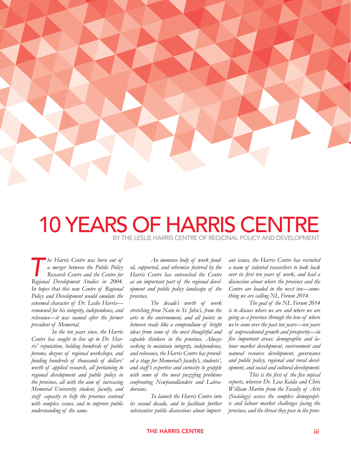

### **10 YEARS OF HARRIS CENT** by THE Leslie Harris Centre OF Regional Policy And Development

*The Harris Centre was born out of*<br> *The merger between the Public Policy*<br> *The Regional Development Studies in 2004 a merger between the Public Policy Research Centre and the Centre for Regional Development Studies in 2004. In hopes that this new Centre of Regional Policy and Development would emulate the esteemed character of Dr. Leslie Harris renowned for his integrity, independence, and relevance—it was named after the former president of Memorial.* 

*In the ten years since, the Harris Centre has sought to live up to Dr. Harris' reputation, holding hundreds of public forums, dozens of regional workshops, and funding hundreds of thousands of dollars' worth of applied research, all pertaining to regional development and public policy in the province, all with the aim of increasing Memorial University student, faculty, and staff capacity to help the province contend with complex issues, and to improve public understanding of the same.* 

*An immense body of work funded, supported, and otherwise fostered by the Harris Centre has entrenched the Centre as an important part of the regional development and public policy landscape of the province.* 

*The decade's worth of work stretching from Nain to St. John's, from the arts to the environment, and all points in between reads like a compendium of bright ideas from some of the most thoughtful and capable thinkers in the province. Always seeking to maintain integrity, independence, and relevance, the Harris Centre has provided a stage for Memorial's faculty's, students', and staff's expertise and curiosity to grapple with some of the most puzzling problems confronting Newfoundlanders and Labradoreans.* 

*To launch the Harris Centre into its second decade, and to facilitate further substantive public discussions about import-*

*ant issues, the Harris Centre has recruited a team of talented researchers to look back over its first ten years of work, and lead a discussion about where the province and the Centre are headed in the next ten—something we are calling NL Forum 2014.*

*The goal of the NL Forum 2014 is to discuss where we are and where we are going as a province through the lens of where we've come over the past ten years—ten years of unprecedented growth and prosperity—in five important areas: demographic and labour market development, environment and natural resource development, governance and public policy, regional and rural development, and social and cultural development.*

*This is the first of the five topical reports, wherein Dr. Lisa Kaida and Chris William Martin from the Faculty of Arts (Sociology) assess the complex demographic and labour market challenges facing the province, and the threat they pose to the prov-*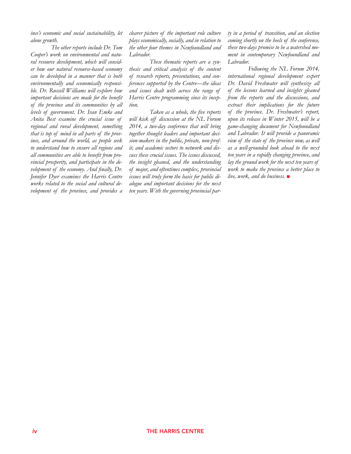*ince's economic and social sustainability, let alone growth.* 

*The other reports include Dr. Tom Cooper's work on environmental and natural resource development, which will consider how our natural resource-based economy can be developed in a manner that is both environmentally and economically responsible. Dr. Russell Williams will explore how important decisions are made for the benefit of the province and its communities by all levels of government. Dr. Ivan Emke and Anita Best examine the crucial issue of regional and rural development, something that is top of mind in all parts of the province, and around the world, as people seek to understand how to ensure all regions and all communities are able to benefit from provincial prosperity, and participate in the development of the economy. And finally, Dr. Jennifer Dyer examines the Harris Centre works related to the social and cultural development of the province, and provides a* 

*clearer picture of the important role culture plays economically, socially, and in relation to the other four themes in Newfoundland and Labrador.*

*These thematic reports are a synthesis and critical analysis of the content of research reports, presentations, and conferences supported by the Centre—the ideas and issues dealt with across the range of Harris Centre programming since its inception.* 

*Taken as a whole, the five reports will kick off discussion at the NL Forum 2014, a two-day conference that will bring together thought leaders and important decision-makers in the public, private, non-profit, and academic sectors to network and discuss these crucial issues. The issues discussed, the insight gleaned, and the understanding of major, and oftentimes complex, provincial issues will truly form the basis for public dialogue and important decisions for the next ten years. With the governing provincial par-*

*ty in a period of transition, and an election coming shortly on the heels of the conference, these two-days promise to be a watershed moment in contemporary Newfoundland and Labrador.*

*Following the NL Forum 2014, international regional development expert Dr. David Freshwater will synthesize all of the lessons learned and insights gleaned from the reports and the discussions, and extract their implications for the future of the province. Dr. Freshwater's report, upon its release in Winter 2015, will be a game-changing document for Newfoundland and Labrador. It will provide a panoramic view of the state of the province now, as well as a well-grounded look ahead to the next ten years in a rapidly changing province, and lay the ground work for the next ten years of work to make the province a better place to live, work, and do business.*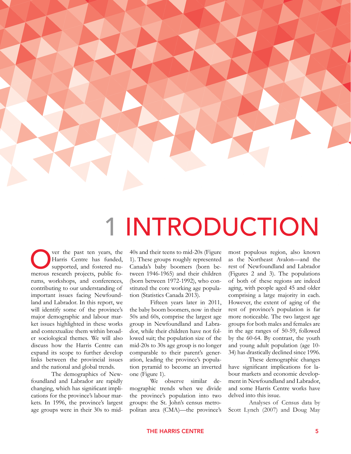

## **INTRODUCTION**

**Over the past ten years, the Harris Centre has funded, supported, and fostered numerous research projects, public fo-**Harris Centre has funded, supported, and fostered nurums, workshops, and conferences, contributing to our understanding of important issues facing Newfoundland and Labrador. In this report, we will identify some of the province's major demographic and labour market issues highlighted in these works and contextualize them within broader sociological themes. We will also discuss how the Harris Centre can expand its scope to further develop links between the provincial issues and the national and global trends.

The demographics of Newfoundland and Labrador are rapidly changing, which has significant implications for the province's labour markets. In 1996, the province's largest age groups were in their 30s to mid-

40s and their teens to mid-20s (Figure 1). These groups roughly represented Canada's baby boomers (born between 1946-1965) and their children (born between 1972-1992), who constituted the core working age population (Statistics Canada 2013).

Fifteen years later in 2011, the baby boom boomers, now in their 50s and 60s, comprise the largest age group in Newfoundland and Labrador, while their children have not followed suit; the population size of the mid-20s to 30s age group is no longer comparable to their parent's generation, leading the province's population pyramid to become an inverted one (Figure 1).

We observe similar demographic trends when we divide the province's population into two groups: the St. John's census metropolitan area (CMA)—the province's most populous region, also known as the Northeast Avalon—and the rest of Newfoundland and Labrador (Figures 2 and 3). The populations of both of these regions are indeed aging, with people aged 45 and older comprising a large majority in each. However, the extent of aging of the rest of province's population is far more noticeable. The two largest age groups for both males and females are in the age ranges of 50-59, followed by the 60-64. By contrast, the youth and young adult population (age 10- 34) has drastically declined since 1996.

These demographic changes have significant implications for labour markets and economic development in Newfoundland and Labrador, and some Harris Centre works have delved into this issue.

Analyses of Census data by Scott Lynch (2007) and Doug May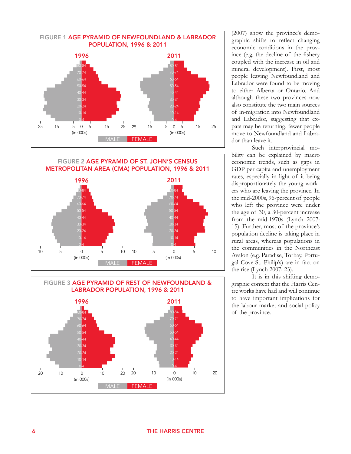





(2007) show the province's demographic shifts to reflect changing economic conditions in the province (e.g. the decline of the fishery coupled with the increase in oil and mineral development). First, most people leaving Newfoundland and Labrador were found to be moving to either Alberta or Ontario. And although these two provinces now also constitute the two main sources of in-migration into Newfoundland and Labrador, suggesting that expats may be returning, fewer people move to Newfoundland and Labrador than leave it.

Such interprovincial mobility can be explained by macro economic trends, such as gaps in GDP per capita and unemployment rates, especially in light of it being disproportionately the young workers who are leaving the province. In the mid-2000s, 96-percent of people who left the province were under the age of 30, a 30-percent increase from the mid-1970s (Lynch 2007: 15). Further, most of the province's population decline is taking place in rural areas, whereas populations in the communities in the Northeast Avalon (e.g. Paradise, Torbay, Portugal Cove-St. Philip's) are in fact on the rise (Lynch 2007: 23).

It is in this shifting demographic context that the Harris Centre works have had and will continue to have important implications for the labour market and social policy of the province.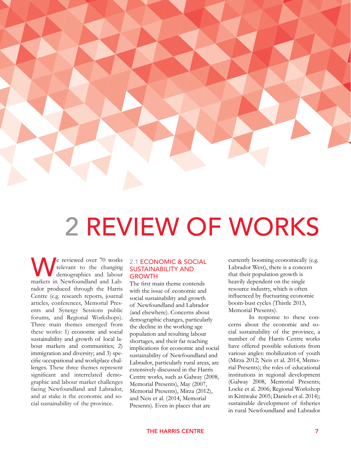

## 2 REVIEW OF WORKS

We reviewed over 70 works<br>relevant to the changing<br>markets in Newfoundland and Labrelevant to the changing demographics and labour markets in Newfoundland and Labrador produced through the Harris Centre (e.g. research reports, journal articles, conferences, Memorial Presents and Synergy Sessions public forums, and Regional Workshops). Three main themes emerged from these works: 1) economic and social sustainability and growth of local labour markets and communities; 2) immigration and diversity; and 3) specific occupational and workplace challenges. These three themes represent significant and interrelated demographic and labour market challenges facing Newfoundland and Labrador, and at stake is the economic and social sustainability of the province.

#### 2.1 Economic & Social SUSTAINABILITY AND **GROWTH**

The first main theme contends with the issue of economic and social sustainability and growth of Newfoundland and Labrador (and elsewhere). Concerns about demographic changes, particularly the decline in the working age population and resulting labour shortages, and their far reaching implications for economic and social sustainability of Newfoundland and Labrador, particularly rural areas, are extensively discussed in the Harris Centre works, such as Galway (2008, Memorial Presents), May (2007, Memorial Presents), Mirza (2012), and Neis et al. (2014, Memorial Presents). Even in places that are

currently booming economically (e.g. Labrador West), there is a concern that their population growth is heavily dependent on the single resource industry, which is often influenced by fluctuating economic boom-bust cycles (Thistle 2013, Memorial Presents).

In response to these concerns about the economic and social sustainability of the province, a number of the Harris Centre works have offered possible solutions from various angles: mobilization of youth (Mirza 2012; Neis et al. 2014, Memorial Presents); the roles of educational institutions in regional development (Galway 2008, Memorial Presents; Locke et al. 2006; Regional Workshop in Kittiwake 2005; Daniels et al. 2014); sustainable development of fisheries in rural Newfoundland and Labrador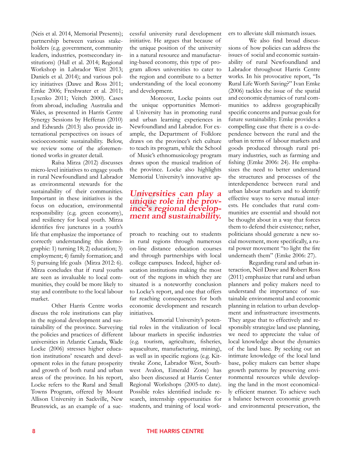(Neis et al. 2014, Memorial Presents); partnership between various stakeholders (e.g. government, community leaders, industries, postsecondary institutions) (Hall et al. 2014; Regional Workshop in Labrador West 2013; Daniels et al. 2014); and various policy initiatives (Dawe and Ross 2011; Emke 2006; Freshwater et al. 2011; Lysenko 2011; Veitch 2000). Cases from abroad, including Australia and Wales, as presented in Harris Centre Synergy Sessions by Hefferan (2010) and Edwards (2013) also provide international perspectives on issues of socioeconomic sustainability. Below, we review some of the aforementioned works in greater detail.

Raïsa Mirza (2012) discusses micro-level initiatives to engage youth in rural Newfoundland and Labrador as environmental stewards for the sustainability of their communities. Important in these initiatives is the focus on education, environmental responsibility (e.g. green economy), and resiliency for local youth. Mirza identifies five junctures in a youth's life that emphasize the importance of correctly understanding this demographic: 1) turning 18; 2) education; 3) employment; 4) family formation; and 5) pursuing life goals (Mirza 2012: 6). Mirza concludes that if rural youths are seen as invaluable to local communities, they could be more likely to stay and contribute to the local labour market.

Other Harris Centre works discuss the role institutions can play in the regional development and sustainability of the province. Surveying the policies and practices of different universities in Atlantic Canada, Wade Locke (2006) stresses higher education institutions' research and development roles in the future prosperity and growth of both rural and urban areas of the province. In his report, Locke refers to the Rural and Small Towns Program, offered by Mount Allison University in Sackville, New Brunswick, as an example of a successful university rural development initiative. He argues that because of the unique position of the university in a natural resource and manufacturing-based economy, this type of program allows universities to cater to the region and contribute to a better understanding of the local economy and development.

Moreover, Locke points out the unique opportunities Memorial University has in promoting rural and urban learning experiences in Newfoundland and Labrador. For example, the Department of Folklore draws on the province's rich culture to teach its program, while the School of Music's ethnomusicology program draws upon the musical tradition of the province. Locke also highlights Memorial University's innovative ap-

## **Universities can play a unique role in the prov- ince's regional develop- ment and sustainability.**

proach to reaching out to students in rural regions through numerous on-line distance education courses and through partnerships with local college campuses. Indeed, higher education institutions making the most out of the regions in which they are situated is a noteworthy conclusion to Locke's report, and one that offers far reaching consequences for both economic development and research initiatives.

Memorial University's potential roles in the vitalization of local labour markets in specific industries (e.g. tourism, agriculture, fisheries, aquaculture, manufacturing, mining), as well as in specific regions (e.g. Kittiwake Zone, Labrador West, Southwest Avalon, Emerald Zone) has also been discussed at Harris Center Regional Workshops (2005-to date). Possible roles identified include research, internship opportunities for students, and training of local workers to alleviate skill mismatch issues.

We also find broad discussions of how policies can address the issues of social and economic sustainability of rural Newfoundland and Labrador throughout Harris Centre works. In his provocative report, "Is Rural Life Worth Saving?" Ivan Emke (2006) tackles the issue of the spatial and economic dynamics of rural communities to address geographically specific concerns and pursue goals for future sustainability. Emke provides a compelling case that there is a co-dependence between the rural and the urban in terms of labour markets and goods produced through rural primary industries, such as farming and fishing (Emke 2006: 24). He emphasizes the need to better understand the structures and processes of the interdependence between rural and urban labour markets and to identify effective ways to serve mutual interests. He concludes that rural communities are essential and should not be thought about in a way that forces them to defend their existence; rather, politicians should generate a new social movement, more specifically, a rural power movement "to light the fire underneath them" (Emke 2006: 27).

Regarding rural and urban interaction, Neil Dawe and Robert Ross (2011) emphasize that rural and urban planners and policy makers need to understand the importance of sustainable environmental and economic planning in relation to urban development and infrastructure investments. They argue that to effectively and responsibly strategize land use planning, we need to appreciate the value of local knowledge about the dynamics of the land base. By seeking out an intimate knowledge of the local land base, policy makers can better shape growth patterns by preserving environmental resources while developing the land in the most economically efficient manner. To achieve such a balance between economic growth and environmental preservation, the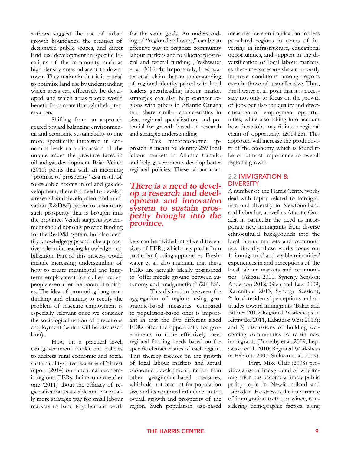authors suggest the use of urban growth boundaries, the creation of designated public spaces, and direct land use development in specific locations of the community, such as high density areas adjacent to downtown. They maintain that it is crucial to optimize land use by understanding which areas can effectively be developed, and which areas people would benefit from more through their preservation.

Shifting from an approach geared toward balancing environmental and economic sustainability to one more specifically interested in economics leads to a discussion of the unique issues the province faces in oil and gas development. Brian Veitch (2010) posits that with an incoming "promise of prosperity" as a result of foreseeable booms in oil and gas development, there is a need to develop a research and development and innovation (R&D&I) system to sustain any such prosperity that is brought into the province. Veitch suggests government should not only provide funding for the R&D&I system, but also identify knowledge gaps and take a proactive role in increasing knowledge mobilization. Part of this process would include increasing understanding of how to create meaningful and longterm employment for skilled tradespeople even after the boom diminishes. The idea of promoting long-term thinking and planning to rectify the problem of insecure employment is especially relevant once we consider the sociological notion of precarious employment (which will be discussed later).

How, on a practical level, can government implement policies to address rural economic and social sustainability? Freshwater et al.'s latest report (2014) on functional economic regions (FERs) builds on an earlier one (2011) about the efficacy of regionalization as a viable and potentially more strategic way for small labour markets to band together and work

for the same goals. An understanding of "regional spillovers," can be an effective way to organize community labour markets and to allocate provincial and federal funding (Freshwater et al. 2014: 4). Importantly, Freshwater et al. claim that an understanding of regional identity paired with local leaders spearheading labour market strategies can also help connect regions with others in Atlantic Canada that share similar characteristics in size, regional specialization, and potential for growth based on research and strategic understanding.

This microeconomic approach is meant to identify 259 local labour markets in Atlantic Canada, and help governments develop better regional policies. These labour mar-

### **There is a need to devel op a research and devel- opment and innovation system to sustain pros- perity brought into the province.**

kets can be divided into five different sizes of FERs, which may profit from particular funding approaches. Freshwater et al. also maintain that these FERs are actually ideally positioned to "offer middle ground between autonomy and amalgamation" (2014:8).

This distinction between the aggregation of regions using geographic-based measures compared to population-based ones is important in that the five different sized FERs offer the opportunity for governments to more effectively meet regional funding needs based on the specific characteristics of each region. This thereby focuses on the growth of local labour markets and actual economic development, rather than other geographic-based measures, which do not account for population size and its continual influence on the overall growth and prosperity of the region. Such population size-based measures have an implication for less populated regions in terms of investing in infrastructure, educational opportunities, and support in the diversification of local labour markets, as these measures are shown to vastly improve conditions among regions even in those of a smaller size. Thus, Freshwater et al. posit that it is necessary not only to focus on the growth of jobs but also the quality and diversification of employment opportunities, while also taking into account how these jobs may fit into a regional chain of opportunity (2014:28). This approach will increase the productivity of the economy, which is found to be of utmost importance to overall regional growth.

#### 2.2 Immigration & **DIVERSITY**

A number of the Harris Centre works deal with topics related to immigration and diversity in Newfoundland and Labrador, as well as Atlantic Canada, in particular the need to incorporate new immigrants from diverse ethnocultural backgrounds into the local labour markets and communities. Broadly, these works focus on: 1) immigrants' and visible minorities' experiences in and perceptions of the local labour markets and communities (Akbari 2011, Synergy Session; Anderson 2012; Gien and Law 2009; Kazemipur 2013, Synergy Session); 2) local residents' perceptions and attitudes toward immigrants (Baker and Bittner 2013; Regional Workshops in Kittiwake 2011, Labrador West 2013); and 3) discussions of building welcoming communities to retain new immigrants (Burnaby et al. 2009; Lepawsky et al. 2010; Regional Workshop in Exploits 2007; Sullivan et al. 2009).

First, Mike Clair (2008) provides a useful background of why immigration has become a timely public policy topic in Newfoundland and Labrador. He stresses the importance of immigration to the province, considering demographic factors, aging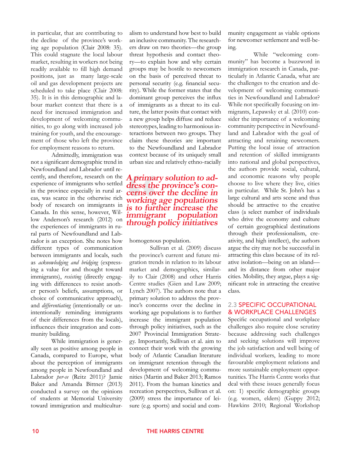in particular, that are contributing to the decline of the province's working age population (Clair 2008: 35). This could stagnate the local labour market, resulting in workers not being readily available to fill high demand positions, just as many large-scale oil and gas development projects are scheduled to take place (Clair 2008: 35). It is in this demographic and labour market context that there is a need for increased immigration and development of welcoming communities, to go along with increased job training for youth, and the encouragement of those who left the province for employment reasons to return.

Admittedly, immigration was not a significant demographic trend in Newfoundland and Labrador until recently, and therefore, research on the experience of immigrants who settled in the province especially in rural areas, was scarce in the otherwise rich body of research on immigrants in Canada. In this sense, however, Willow Anderson's research (2012) on the experiences of immigrants in rural parts of Newfoundland and Labrador is an exception. She notes how different types of communication between immigrants and locals, such as *acknowledging and bridging* (expressing a value for and thought toward immigrants), *resisting* (directly engaging with differences to resist another person's beliefs, assumptions, or choice of communicative approach), and *differentiating* (intentionally or unintentionally reminding immigrants of their differences from the locals), influences their integration and community building.

While immigration is generally seen as positive among people in Canada, compared to Europe, what about the perception of immigrants among people in Newfoundland and Labrador *per-se* (Reitz 2011)? Jamie Baker and Amanda Bittner (2013) conducted a survey on the opinions of students at Memorial University toward immigration and multiculturalism to understand how best to build an inclusive community. The researchers draw on two theories—the group threat hypothesis and contact theory—to explain how and why certain groups may be hostile to newcomers on the basis of perceived threat to personal security (e.g. financial security). While the former states that the dominant group perceives the influx of immigrants as a threat to its culture, the latter posits that contact with a new group helps diffuse and reduce stereotypes, leading to harmonious interactions between two groups. They claim these theories are important to the Newfoundland and Labrador context because of its uniquely small urban size and relatively ethno-racially

### **A primary solution to ad- dress the province's con- cerns over the decline in working age populations is to further increase the immigrant population through policy initiatives**

homogenous population.

Sullivan et al. (2009) discuss the province's current and future migration trends in relation to its labour market and demographics, similarily to Clair (2008) and other Harris Centre studies (Gien and Law 2009; Lynch 2007). The authors note that a primary solution to address the province's concerns over the decline in working age populations is to further increase the immigrant population through policy initiatives, such as the 2007 Provincial Immigration Strategy. Importantly, Sullivan et al. aim to connect their work with the growing body of Atlantic Canadian literature on immigrant retention through the development of welcoming communities (Martin and Baker 2013; Ramos 2011). From the human kinetics and recreation perspectives, Sullivan et al. (2009) stress the importance of leisure (e.g. sports) and social and community engagement as viable options for newcomer settlement and well-being.

 While "welcoming community" has become a buzzword in immigration research in Canada, particularly in Atlantic Canada, what are the challenges to the creation and development of welcoming communities in Newfoundland and Labrador? While not specifically focusing on immigrants, Lepawsky et al. (2010) consider the importance of a welcoming community perspective in Newfoundland and Labrador with the goal of attracting and retaining newcomers. Putting the local issue of attraction and retention of skilled immigrants into national and global perspectives, the authors provide social, cultural, and economic reasons why people choose to live where they live, cities in particular. While St. John's has a large cultural and arts scene and thus should be attractive to the creative class (a select number of individuals who drive the economy and culture of certain geographical destinations through their professionalism, creativity, and high intellect), the authors argue the city may not be successful in attracting this class because of its relative isolation—being on an island and its distance from other major cities. Mobility, they argue, plays a significant role in attracting the creative class.

#### 2.3 Specific Occupational & Workplace Challenges

Specific occupational and workplace challenges also require close scrutiny because addressing such challenges and seeking solutions will improve the job satisfaction and well being of individual workers, leading to more favourable employment relations and more sustainable employment opportunities. The Harris Centre works that deal with these issues generally focus on: 1) specific demographic groups (e.g. women, elders) (Guppy 2012; Hawkins 2010; Regional Workshop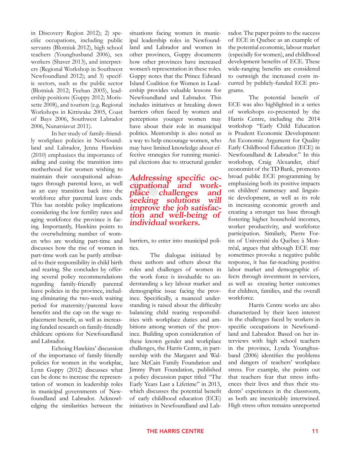in Discovery Region 2012); 2) specific occupations, including public servants (Blotniuk 2012), high school teachers (Younghusband 2006), sex workers (Shaver 2013), and interpreters (Regional Workshop in Southwest Newfoundland 2012); and 3) specific sectors, such as the public sector (Blotniuk 2012; Feehan 2005), leadership positions (Guppy 2012; Morissette 2008), and tourism (e.g. Regional Workshops in Kittiwake 2005, Coast of Bays 2006, Southwest Labrador 2006, Nunatsiavut 2011).

In her study of family-friendly workplace policies in Newfoundland and Labrador, Jenna Hawkins (2010) emphasizes the importance of aiding and easing the transition into motherhood for women wishing to maintain their occupational advantages through parental leave, as well as an easy transition back into the workforce after parental leave ends. This has notable policy implications considering the low fertility rates and aging workforce the province is facing. Importantly, Hawkins points to the overwhelming number of women who are working part-time and discusses how the rise of women in part-time work can be partly attributed to their responsibility in child birth and rearing. She concludes by offering several policy recommendations regarding family-friendly parental leave policies in the province, including eliminating the two-week waiting period for maternity/parental leave benefits and the cap on the wage replacement benefit, as well as increasing funded research on family-friendly childcare options for Newfoundland and Labrador.

Echoing Hawkins' discussion of the importance of family friendly policies for women in the workplac, Lynn Guppy (2012) discusses what can be done to increase the representation of women in leadership roles in municipal governments of Newfoundland and Labrador. Acknowledging the similarities between the

situations facing women in municipal leadership roles in Newfoundland and Labrador and women in other provinces, Guppy documents how other provinces have increased women's representation in these roles. Guppy notes that the Prince Edward Island Coalition for Women in Leadership provides valuable lessons for Newfoundland and Labrador. This includes initiatives at breaking down barriers often faced by women and perceptions younger women may have about their role in municipal politics. Mentorship is also noted as a way to help encourage women, who may have limited knowledge about effective strategies for running municipal elections due to structural gender

### **Addressing specific oc- cupational and work- place challenges and seeking solutions will improve the job satisfac- tion and well-being of individual workers.**

barriers, to enter into municipal politics.

The dialogue initiated by these authors and others about the roles and challenges of women in the work force is invaluable to understanding a key labour market and demographic issue facing the province. Specifically, a nuanced understanding is raised about the difficulty balancing child rearing responsibilities with workplace duties and ambitions among women of the province. Building upon consideration of these known gender and workplace challenges, the Harris Centre, in partnership with the Margaret and Wallace McCain Family Foundation and Jimmy Pratt Foundation, published a policy discussion paper titled "The Early Years Last a Lifetime" in 2013, which discusses the potential benefit of early childhood education (ECE) initiatives in Newfoundland and Labrador. The paper points to the success of ECE in Quebec as an example of the potential economic, labour market (especially for women), and childhood development benefits of ECE. These wide-ranging benefits are considered to outweigh the increased costs incurred by publicly-funded ECE programs.

The potential benefit of ECE was also highlighted in a series of workshops co-presented by the Harris Centre, including the 2014 workshop "Early Child Education is Prudent Economic Development: An Economic Argument for Quality Early Childhood Education (ECE) in Newfoundland & Labrador." In this workshop, Craig Alexander, chief economist of the TD Bank, promotes broad public ECE programming by emphasizing both its positive impacts on children' numeracy and linguistic development, as well as its role in increasing economic growth and creating a stronger tax base through fostering higher household incomes, worker productivity, and workforce participation. Similarly, Pierre Fortin of Université du Québec à Montréal, argues that although ECE may sometimes provoke a negative public response, it has far-reaching positive labor market and demographic effects through investment in services, as well as creating better outcomes for children, families, and the overall workforce.

Harris Centre works are also characterized by their keen interest in the challenges faced by workers in specific occupations in Newfoundland and Labrador. Based on her interviews with high school teachers in the province, Lynda Younghusband (2006) identifies the problems and dangers of teachers' workplace stress. For example, she points out that teachers fear that stress influences their lives and thus their students' experiences in the classroom, as both are inextricably intertwined. High stress often remains unreported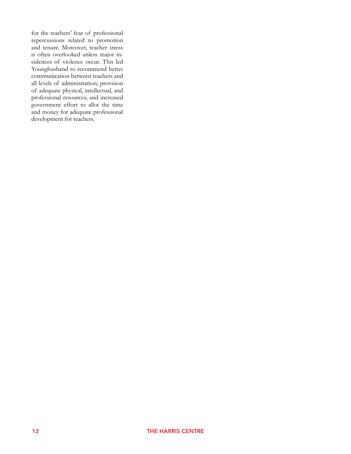for the teachers' fear of professional repercussions related to promotion and tenure. Moreover, teacher stress is often overlooked unless major incidences of violence occur. This led Younghusband to recommend better communication between teachers and all levels of administration; provision of adequate physical, intellectual, and professional resources; and increased government effort to allot the time and money for adequate professional development for teachers.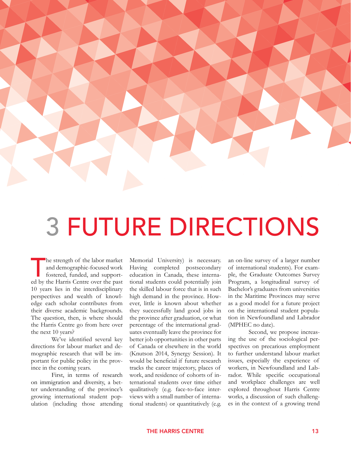

## 3 FUTURE DIRECTIONS

The strength of the labor market<br>and demographic-focused work<br>fostered, funded, and support-<br>ed by the Harris Centre over the past and demographic-focused work fostered, funded, and supported by the Harris Centre over the past 10 years lies in the interdisciplinary perspectives and wealth of knowledge each scholar contributes from their diverse academic backgrounds. The question, then, is where should the Harris Centre go from here over the next 10 years?

We've identified several key directions for labour market and demographic research that will be important for public policy in the province in the coming years.

First, in terms of research on immigration and diversity, a better understanding of the province's growing international student population (including those attending

Memorial University) is necessary. Having completed postsecondary education in Canada, these international students could potentially join the skilled labour force that is in such high demand in the province. However, little is known about whether they successfully land good jobs in the province after graduation, or what percentage of the international graduates eventually leave the province for better job opportunities in other parts of Canada or elsewhere in the world (Knutson 2014, Synergy Session). It would be beneficial if future research tracks the career trajectory, places of work, and residence of cohorts of international students over time either qualitatively (e.g. face-to-face interviews with a small number of international students) or quantitatively (e.g.

an on-line survey of a larger number of international students). For example, the Graduate Outcomes Survey Program, a longitudinal survey of Bachelor's graduates from universities in the Maritime Provinces may serve as a good model for a future project on the international student population in Newfoundland and Labrador (MPHEC no date).

Second, we propose increasing the use of the sociological perspectives on precarious employment to further understand labour market issues, especially the experience of workers, in Newfoundland and Labrador. While specific occupational and workplace challenges are well explored throughout Harris Centre works, a discussion of such challenges in the context of a growing trend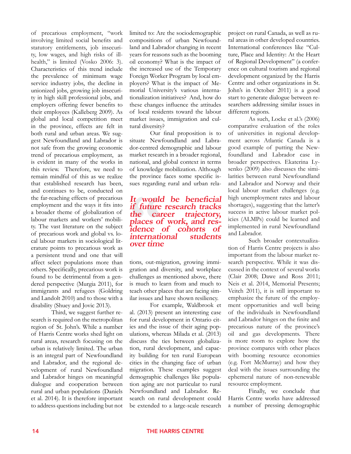of precarious employment, "work involving limited social benefits and statutory entitlements, job insecurity, low wages, and high risks of illhealth," is limited (Vosko 2006: 3). Characteristics of this trend include the prevalence of minimum wage service industry jobs, the decline in unionized jobs, growing job insecurity in high skill professional jobs, and employers offering fewer benefits to their employees (Kalleberg 2009). As global and local competition meet in the province, effects are felt in both rural and urban areas. We suggest Newfoundland and Labrador is not safe from the growing economic trend of precarious employment, as is evident in many of the works in this review. Therefore, we need to remain mindful of this as we realize that established research has been, and continues to be, conducted on the far-reaching effects of precarious employment and the ways it fits into a broader theme of globalization of labour markets and workers' mobility. The vast literature on the subject of precarious work and global vs. local labour markets in sociological literature points to precarious work as a persistent trend and one that will affect select populations more than others. Specifically, precarious work is found to be detrimental from a gendered perspective (Murgia 2011), for immigrants and refugees (Goldring and Landolt 2010) and to those with a disability (Shuey and Jovic 2013).

Third, we suggest further research is required on the metropolitan region of St. John's. While a number of Harris Centre works shed light on rural areas, research focusing on the urban is relatively limited. The urban is an integral part of Newfoundland and Labrador, and the regional development of rural Newfoundland and Labrador hinges on meaningful dialogue and cooperation between rural and urban populations (Daniels et al. 2014). It is therefore important to address questions including but not limited to: Are the sociodemographic compositions of urban Newfoundland and Labrador changing in recent years for reasons such as the booming oil economy? What is the impact of the increased use of the Temporary Foreign Worker Program by local employers? What is the impact of Memorial University's various internationalization initiatives? And, how do these changes influence the attitudes of local residents toward the labour market issues, immigration and cultural diversity?

Our final proposition is to situate Newfoundland and Labrador-centred demographic and labour market research in a broader regional, national, and global context in terms of knowledge mobilization. Although the province faces some specific issues regarding rural and urban rela-

### **It would be beneficial if future research tracks the career trajectory, places of work, and res- idence of cohorts of international students over time**

tions, out-migration, growing immigration and diversity, and workplace challenges as mentioned above, there is much to learn from and much to teach other places that are facing similar issues and have shown resiliency.

For example, Waldbrook et al. (2013) present an interesting case for rural development in Ontario cities and the issue of their aging populations, whereas Milada et al. (2013) discuss the ties between globalization, rural development, and capacity building for ten rural European cities in the changing face of urban migration. These examples suggest demographic challenges like population aging are not particular to rural Newfoundland and Labrador. Research on rural development could be extended to a large-scale research project on rural Canada, as well as rural areas in other developed countries. International conferences like "Culture, Place and Identity: At the Heart of Regional Development" (a conference on cultural tourism and regional development organized by the Harris Centre and other organizations in St. John's in October 2011) is a good start to generate dialogue between researchers addressing similar issues in different regions.

As such, Locke et al.'s (2006) comparative evaluation of the roles of universities in regional development across Atlantic Canada is a good example of putting the Newfoundland and Labrador case in broader perspectives. Ekaterina Lysenko (2009) also discusses the similarities between rural Newfoundland and Labrador and Norway and their local labour market challenges (e.g. high unemployment rates and labour shortages), suggesting that the latter's success in active labour market policies (ALMPs) could be learned and implemented in rural Newfoundland and Labrador.

Such broader contextualization of Harris Centre projects is also important from the labour market research perspective. While it was discussed in the context of several works (Clair 2008; Dawe and Ross 2011; Neis et al. 2014, Memorial Presents; Veitch 2011), it is still important to emphasize the future of the employment opportunities and well being of the individuals in Newfoundland and Labrador hinges on the finite and precarious nature of the province's oil and gas developments. There is more room to explore how the province compares with other places with booming resource economies (e.g. Fort McMurray) and how they deal with the issues surrounding the ephemeral nature of non-renewable resource employment.

Finally, we conclude that Harris Centre works have addressed a number of pressing demographic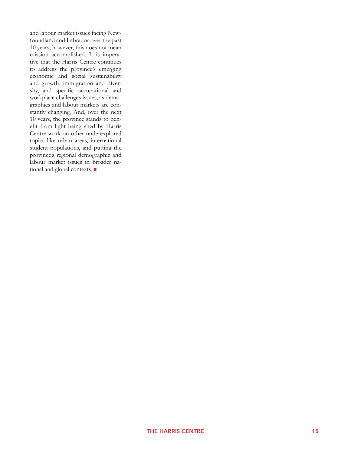and labour market issues facing Newfoundland and Labrador over the past 10 years; however, this does not mean mission accomplished. It is imperative that the Harris Centre continues to address the province's emerging economic and social sustainability and growth, immigration and diversity, and specific occupational and workplace challenges issues, as demographics and labour markets are constantly changing. And, over the next 10 years, the province stands to benefit from light being shed by Harris Centre work on other underexplored topics like urban areas, international student populations, and putting the province's regional demographic and labour market issues in broader national and global contexts.  $\blacksquare$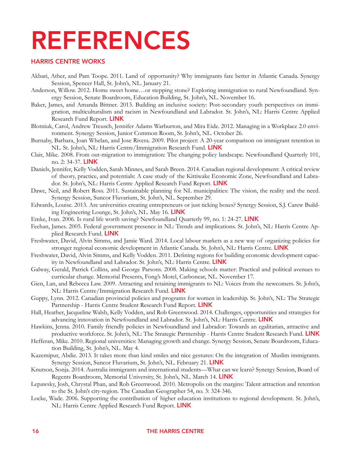## REFERENCES

#### HARRIS CENTRE WORKS

- Akbari, Ather, and Pam Toope. 2011. Land of opportunity? Why immigrants fare better in Atlantic Canada. Synergy Session, Spencer Hall, St. John's, NL. January 21.
- Anderson, Willow. 2012. Home sweet home…or stepping stone? Exploring immigration to rural Newfoundland. Synergy Session, Senate Boardroom, Education Building, St. John's, NL. November 16.
- Baker, James, and Amanda Bittner. 2013. Building an inclusive society: Post-secondary youth perspectives on immigration, multiculturalism and racism in Newfoundland and Labrador. St. John's, NL: Harris Centre Applied Research Fund Report. LINK
- Blotniuk, Carol, Andrew Treusch, Jennifer Adams Warburton, and Mira Eide. 2012. Managing in a Workplace 2.0 environment. Synergy Session, Junior Common Room, St. John's, NL. October 26.
- Burnaby, Barbara, Joan Whelan, and Jose Rivera. 2009. Pilot project: A 20-year comparison on immigrant retention in NL. St. John's, NL: Harris Centre/Immigration Research Fund. LINK
- Clair, Mike. 2008. From out-migration to immigration: The changing policy landscape. Newfoundland Quarterly 101, no. 2: 34-37. [Link](http://www.mun.ca/harriscentre/reports/nlquarterly/NQ_article_Vol_101_No_2.pdf)
- Daniels, Jennifer, Kelly Vodden, Sarah Minnes, and Sarah Breen. 2014. Canadian regional development: A critical review of theory, practice, and potentials: A case study of the Kittiwake Economic Zone, Newfoundland and Labrador. St. John's, NL: Harris Centre Applied Research Fund Report. LINK
- Dawe, Neil, and Robert Ross. 2011. Sustainable planning for NL municipalities: The vision, the reality and the need. Synergy Session, Suncor Fluvarium, St. John's, NL. September 29.
- Edwards, Louise. 2013. Are universities creating entrepreneurs or just ticking boxes? Synergy Session, S.J. Carew Building Engineering Lounge, St. John's, NL. May 16. LINK
- Emke, Ivan. 2006. Is rural life worth saving? Newfoundland Quarterly 99, no. 1: 24-27. LINK
- Feehan, James. 2005. Federal government presence in NL: Trends and implications. St. John's, NL: Harris Centre Applied Research Fund. LINK
- Freshwater, David, Alvin Simms, and Jamie Ward. 2014. Local labour markets as a new way of organizing policies for stronger regional economic development in Atlantic Canada. St. John's, NL: Harris Centre. LINK
- Freshwater, David, Alvin Simms, and Kelly Vodden. 2011. Defining regions for building economic development capacity in Newfoundland and Labrador. St. John's, NL: Harris Centre. LINK
- Galway, Gerald, Patrick Collins, and George Parsons. 2008. Making schools matter: Practical and political avenues to curricular change. Memorial Presents, Fong's Motel, Carbonear, NL. November 17.
- Gien, Lan, and Rebecca Law. 2009. Attracting and retaining immigrants to NL: Voices from the newcomers. St. John's, NL: Harris Centre/Immigration Research Fund. LINK
- Guppy, Lynn. 2012. Canadian provincial policies and programs for women in leadership. St. John's, NL: The Strategic Partnership - Harris Centre Student Research Fund Report. LINK
- Hall, Heather, Jacqueline Walsh, Kelly Vodden, and Rob Greenwood. 2014. Challenges, opportunities and strategies for advancing innovation in Newfoundland and Labrador. St. John's, NL: Harris Centre. LINK
- Hawkins, Jenna. 2010. Family friendly policies in Newfoundland and Labrador: Towards an egalitarian, attractive and productive workforce. St. John's, NL: The Strategic Partnership - Harris Centre Student Research Fund. LINK
- Hefferan, Mike. 2010. Regional universities: Managing growth and change. Synergy Session, Senate Boardroom, Education Building, St. John's, NL. May 4.
- Kazemipur, Abdie. 2013. It takes more than kind smiles and nice gestures: On the integration of Muslim immigrants. Synergy Session, Suncor Fluvarium, St. John's, NL. February 21. LINK
- Knutson, Sonja. 2014. Australia immigrants and international students—What can we learn? Synergy Session, Board of Regents Boardroom, Memorial University, St. John's, NL. March 14. LINK
- Lepawsky, Josh, Chrystal Phan, and Rob Greenwood. 2010. Metropolis on the margins: Talent attraction and retention to the St. John's city-region. The Canadian Geographer 54, no. 3: 324-346.
- Locke, Wade. 2006. Supporting the contribution of higher education institutions to regional development. St. John's, NL: Harris Centre Applied Research Fund Report. LINK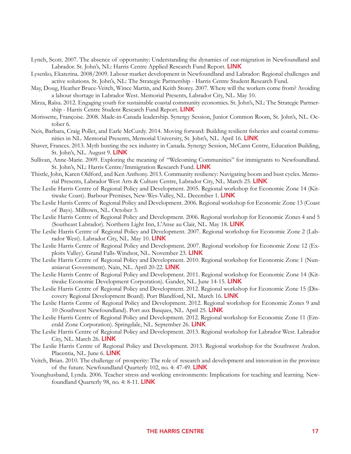- Lynch, Scott. 2007. The absence of opportunity: Understanding the dynamics of out-migration in Newfoundland and Labrador. St. John's, NL: Harris Centre Applied Research Fund Report. LINK
- Lysenko, Ekaterina. 2008/2009. Labour market development in Newfoundland and Labrador: Regional challenges and active solutions. St. John's, NL: The Strategic Partnership - Harris Centre Student Research Fund.
- May, Doug, Heather Bruce-Veitch, Wince Martin, and Keith Storey. 2007. Where will the workers come from? Avoiding a labour shortage in Labrador West. Memorial Presents, Labrador City, NL. May 10.
- Mirza, Raïsa. 2012. Engaging youth for sustainable coastal community economies. St. John's, NL: The Strategic Partnership - Harris Centre Student Research Fund Report. LINK
- Morissette, Françoise. 2008. Made-in-Canada leadership. Synergy Session, Junior Common Room, St. John's, NL. October 6.
- Neis, Barbara, Craig Pollet, and Earle McCurdy. 2014. Moving forward: Building resilient fisheries and coastal communities in NL. Memorial Presents, Memorial University, St. John's, NL. April 16. LINK
- Shaver, Frances. 2013. Myth busting the sex industry in Canada. Synergy Session, McCann Centre, Education Building, St. John's, NL. August 9. LINK
- Sullivan, Anne-Marie. 2009. Exploring the meaning of "Welcoming Communities" for immigrants to Newfoundland. St. John's, NL: Harris Centre/Immigration Research Fund. LINK
- Thistle, John, Karen Oldford, and Ken Anthony. 2013. Community resiliency: Navigating boom and bust cycles. Memorial Presents, Labrador West Arts & Culture Centre, Labrador City, NL. March 25. [Link](http://www.mun.ca/harriscentre/policy/memorialpresents/2013c/index.php)
- The Leslie Harris Centre of Regional Policy and Development. 2005. Regional workshop for Economic Zone 14 (Kittiwake Coast). Barbour Premises, New-Wes-Valley, NL. December 1. LINK
- The Leslie Harris Centre of Regional Policy and Development. 2006. Regional workshop for Economic Zone 13 (Coast of Bays). Milltown, NL. October 3.
- The Leslie Harris Centre of Regional Policy and Development. 2006. Regional workshop for Economic Zones 4 and 5 (Southeast Labrador). Northern Light Inn, L'Anse au Clair, NL. May 18. LINK
- The Leslie Harris Centre of Regional Policy and Development. 2007. Regional workshop for Economic Zone 2 (Labrador West). Labrador City, NL. May 10. LINK
- The Leslie Harris Centre of Regional Policy and Development. 2007. Regional workshop for Economic Zone 12 (Exploits Valley). Grand Falls-Windsor, NL. November 23. LINK
- The Leslie Harris Centre of Regional Policy and Development. 2010. Regional workshop for Economic Zone 1 (Nunatsiavut Government). Nain, NL. April 20-22. LINK
- The Leslie Harris Centre of Regional Policy and Development. 2011. Regional workshop for Economic Zone 14 (Kittiwake Economic Development Corporation). Gander, NL. June 14-15. LINK
- The Leslie Harris Centre of Regional Policy and Development. 2012. Regional workshop for Economic Zone 15 (Discovery Regional Development Board). Port Blandford, NL. March 16. LINK
- The Leslie Harris Centre of Regional Policy and Development. 2012. Regional workshop for Economic Zones 9 and 10 (Southwest Newfoundland). Port aux Basques, NL. April 25. LINK
- The Leslie Harris Centre of Regional Policy and Development. 2012. Regional workshop for Economic Zone 11 (Emerald Zone Corporation). Springdale, NL. September 26. LINK
- The Leslie Harris Centre of Regional Policy and Development. 2013. Regional workshop for Labrador West. Labrador City, NL. March 26.  $LINK$
- The Leslie Harris Centre of Regional Policy and Development. 2013. Regional workshop for the Southwest Avalon. Placentia, NL. June 6. LINK
- Veitch, Brian. 2010. The challenge of prosperity: The role of research and development and innovation in the province of the future. Newfoundland Quarterly 102, no. 4: 47-49. LINK
- Younghusband, Lynda. 2006. Teacher stress and working environments: Implications for teaching and learning. Newfoundland Quarterly 98, no. 4: 8-11. LINK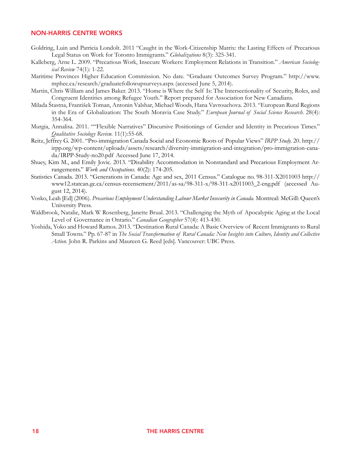#### NON-HARRIS CENTRE WORKS

- Goldring, Luin and Patricia Londolt. 2011 "Caught in the Work-Citizenship Matrix: the Lasting Effects of Precarious Legal Status on Work for Toronto Immigrants." *Globalizations* 8(3): 325-341.
- Kalleberg, Arne L. 2009. "Precarious Work, Insecure Workers: Employment Relations in Transition." *American Sociological Review* 74(1): 1-22.
- Maritime Provinces Higher Education Commission. No date. "Graduate Outcomes Survey Program." http://www. mphec.ca/research/graduatefollowupsurveys.aspx (accessed June 5, 2014).
- Martin, Chris William and James Baker. 2013. "Home is Where the Self Is: The Intersectionality of Security, Roles, and Congruent Identities among Refugee Youth." Report prepared for Association for New Canadians.
- Milada Štastna, František Toman, Antonin Valshar, Michael Woods, Hana Vavrouchova. 2013. "European Rural Regions in the Era of Globalization: The South Moravia Case Study." *European Journal of Social Science Research*. 28(4): 354-364.
- Murgia, Annalisa. 2011. ""Flexible Narratives" Discursive Positionings of Gender and Identity in Precarious Times." *Qualitative Sociology Review.* 11(1):55-68.
- Reitz, Jeffrey G. 2001. "Pro-immigration Canada Social and Economic Roots of Popular Views" *IRPP Study.* 20. http:// irpp.org/wp-content/uploads/assets/research/diversity-immigration-and-integration/pro-immigration-canada/IRPP-Study-no20.pdf Accessed June 17, 2014.
- Shuey, Kim M., and Emily Jovic. 2013. "Disability Accommodation in Nonstandard and Precarious Employment Arrangements." *Work and Occupations*. 40(2): 174-205.
- Statistics Canada. 2013. "Generations in Canada: Age and sex, 2011 Census." Catalogue no. 98-311-X2011003 http:// www12.statcan.gc.ca/census-recensement/2011/as-sa/98-311-x/98-311-x2011003\_2-eng.pdf (accessed August 12, 2014).
- Vosko, Leah [Ed] (2006). *Precarious Employment Understanding Labour Market Insecurity in Canada.* Montreal: McGill: Queen's University Press.
- Waldbrook, Natalie, Mark W Rosenberg, Janette Brual. 2013. "Challenging the Myth of Apocalyptic Aging at the Local Level of Governance in Ontario." *Canadian Geographer* 57(4): 413-430.
- Yoshida, Yoko and Howard Ramos. 2013. "Destination Rural Canada: A Basic Overview of Recent Immigrants to Rural Small Towns." Pp. 67-87 in *The Social Transformation of Rural Canada: New Insights into Culture, Identity and Collective Action*. John R. Parkins and Maureen G. Reed [eds]. Vancouver: UBC Press.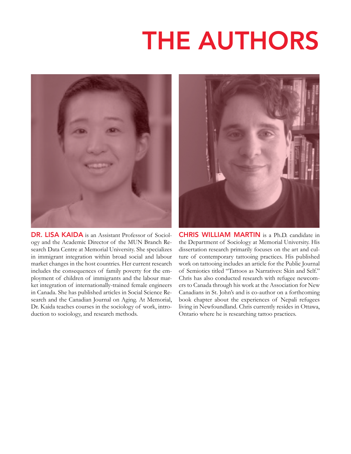# **THE AUTHORS**



DR. LISA KAIDA is an Assistant Professor of Sociology and the Academic Director of the MUN Branch Research Data Centre at Memorial University. She specializes in immigrant integration within broad social and labour market changes in the host countries. Her current research includes the consequences of family poverty for the employment of children of immigrants and the labour market integration of internationally-trained female engineers in Canada. She has published articles in Social Science Research and the Canadian Journal on Aging. At Memorial, Dr. Kaida teaches courses in the sociology of work, introduction to sociology, and research methods.



CHRIS WILLIAM MARTIN is a Ph.D. candidate in the Department of Sociology at Memorial University. His dissertation research primarily focuses on the art and culture of contemporary tattooing practices. His published work on tattooing includes an article for the Public Journal of Semiotics titled "Tattoos as Narratives: Skin and Self." Chris has also conducted research with refugee newcomers to Canada through his work at the Association for New Canadians in St. John's and is co-author on a forthcoming book chapter about the experiences of Nepali refugees living in Newfoundland. Chris currently resides in Ottawa, Ontario where he is researching tattoo practices.